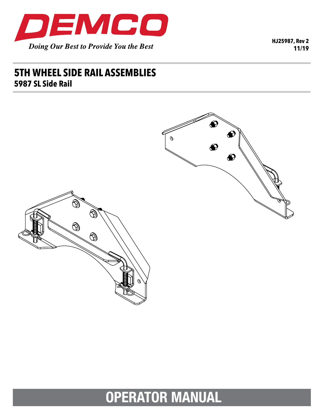

**HJ25987, Rev 2 11/19**

## **5TH WHEEL SIDE RAIL ASSEMBLIES 5987 SL Side Rail**



# **OPERATOR MANUAL**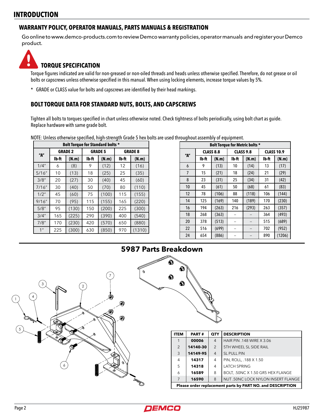#### **INTRODUCTION**

#### **WARRANTY POLICY, OPERATOR MANUALS, PARTS MANUALS & REGISTRATION**

Go online to www.demco-products.com to review Demco warranty policies, operator manuals and register your Demco product.



#### **TORQUE SPECIFICATION**

Torque figures indicated are valid for non-greased or non-oiled threads and heads unless otherwise specified. Therefore, do not grease or oil bolts or capscrews unless otherwise specified in this manual. When using locking elements, increase torque values by 5%.

\* GRADE or CLASS value for bolts and capscrews are identified by their head markings.

#### **BOLT TORQUE DATA FOR STANDARD NUTS, BOLTS, AND CAPSCREWS**

Tighten all bolts to torques specified in chart unless otherwise noted. Check tightness of bolts periodically, using bolt chart as guide. Replace hardware with same grade bolt.

NOTE: Unless otherwise specified, high-strength Grade 5 hex bolts are used throughout assembly of equipment.

| <b>Bolt Torque for Standard bolts *</b> |                |       |                |       |                |        |  |  |  |  |
|-----------------------------------------|----------------|-------|----------------|-------|----------------|--------|--|--|--|--|
| "А"                                     | <b>GRADE 2</b> |       | <b>GRADE 5</b> |       | <b>GRADE 8</b> |        |  |  |  |  |
|                                         | Ib-ft          | (N.m) | lb-ft          | (N.m) | lb-ft          | (N.m)  |  |  |  |  |
| 1/4"                                    | 6              | (8)   | 9              | (12)  | 12             | (16)   |  |  |  |  |
| 5/16''                                  | 10             | (13)  | 18             | (25)  | 25             | (35)   |  |  |  |  |
| 3/8''                                   | 20             | (27)  | 30             | (40)  | 45             | (60)   |  |  |  |  |
| 7/16''                                  | 30             | (40)  | 50             | (70)  | 80             | (110)  |  |  |  |  |
| 1/2"                                    | 45             | (60)  | 75             | (100) | 115            | (155)  |  |  |  |  |
| 9/16''                                  | 70             | (95)  | 115            | (155) | 165            | (220)  |  |  |  |  |
| 5/8''                                   | 95             | (130) | 150            | (200) | 225            | (300)  |  |  |  |  |
| 3/4''                                   | 165            | (225) | 290            | (390) | 400            | (540)  |  |  |  |  |
| 7/8''                                   | 170            | (230) | 420            | (570) | 650            | (880)  |  |  |  |  |
| 1 <sup>''</sup>                         | 225            | (300) | 630            | (850) | 970            | (1310) |  |  |  |  |

| Bolt Torque for Metric bolts * |                  |       |                  |       |                   |        |  |  |  |  |
|--------------------------------|------------------|-------|------------------|-------|-------------------|--------|--|--|--|--|
| "A"                            | <b>CLASS 8.8</b> |       | <b>CLASS 9.8</b> |       | <b>CLASS 10.9</b> |        |  |  |  |  |
|                                | lb-ft            | (N.m) | lb-ft            | (N.m) | Ib-ft             | (N.m)  |  |  |  |  |
| 6                              | 9                | (13)  | 10               | (14)  | 13                | (17)   |  |  |  |  |
| 7                              | 15               | (21)  | 18               | (24)  | 21                | (29)   |  |  |  |  |
| 8                              | 23               | (31)  | 25               | (34)  | 31                | (42)   |  |  |  |  |
| 10                             | 45               | (61)  | 50               | (68)  | 61                | (83)   |  |  |  |  |
| 12                             | 78               | (106) | 88               | (118) | 106               | (144)  |  |  |  |  |
| 14                             | 125              | (169) | 140              | (189) | 170               | (230)  |  |  |  |  |
| 16                             | 194              | (263) | 216              | (293) | 263               | (357)  |  |  |  |  |
| 18                             | 268              | (363) |                  |       | 364               | (493)  |  |  |  |  |
| 20                             | 378              | (513) | ٠.               | --    | 515               | (689)  |  |  |  |  |
| 22                             | 516              | (699) | ۰.               | ٠.    | 702               | (952)  |  |  |  |  |
| 24                             | 654              | (886) |                  |       | 890               | (1206) |  |  |  |  |





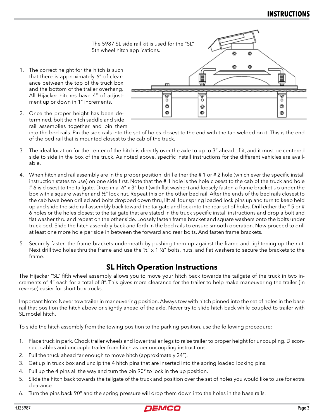

2. Once the proper height has been determined, bolt the hitch saddle and side rail assemblies together and pin them

into the bed rails. Pin the side rails into the set of holes closest to the end with the tab welded on it. This is the end of the bed rail that is mounted closest to the cab of the truck.

- 3. The ideal location for the center of the hitch is directly over the axle to up to 3" ahead of it, and it must be centered side to side in the box of the truck. As noted above, specific install instructions for the different vehicles are available.
- 4. When hitch and rail assembly are in the proper position, drill either the # 1 or # 2 hole (which ever the specific install instruction states to use) on one side first. Note that the # 1 hole is the hole closest to the cab of the truck and hole #6 is closest to the tailgate. Drop in a ½" x 3" bolt (with flat washer) and loosely fasten a frame bracket up under the box with a square washer and ½" lock nut. Repeat this on the other bed rail. After the ends of the bed rails closest to the cab have been drilled and bolts dropped down thru, lift all four spring loaded lock pins up and turn to keep held up and slide the side rail assembly back toward the tailgate and lock into the rear set of holes. Drill either the #5 or # 6 holes or the holes closest to the tailgate that are stated in the truck specific install instructions and drop a bolt and flat washer thru and repeat on the other side. Loosely fasten frame bracket and square washers onto the bolts under truck bed. Slide the hitch assembly back and forth in the bed rails to ensure smooth operation. Now proceed to drill at least one more hole per side in between the forward and rear bolts. And fasten frame brackets.
- 5. Securely fasten the frame brackets underneath by pushing them up against the frame and tightening up the nut. Next drill two holes thru the frame and use the  $\frac{1}{2}$  x 1  $\frac{1}{2}$  bolts, nuts, and flat washers to secure the brackets to the frame.

### **SL Hitch Operation Instructions**

The Hijacker "SL" fifth wheel assembly allows you to move your hitch back towards the tailgate of the truck in two increments of 4" each for a total of 8". This gives more clearance for the trailer to help make maneuvering the trailer (in reverse) easier for short box trucks.

Important Note: Never tow trailer in maneuvering position. Always tow with hitch pinned into the set of holes in the base rail that position the hitch above or slightly ahead of the axle. Never try to slide hitch back while coupled to trailer with SL model hitch.

To slide the hitch assembly from the towing position to the parking position, use the following procedure:

- 1. Place truck in park. Chock trailer wheels and lower trailer legs to raise trailer to proper height for uncoupling. Disconnect cables and uncouple trailer from hitch as per uncoupling instructions.
- 2. Pull the truck ahead far enough to move hitch (approximately 24").
- 3. Get up in truck box and unclip the 4 hitch pins that are inserted into the spring loaded locking pins.
- 4. Pull up the 4 pins all the way and turn the pin 90° to lock in the up position.
- 5. Slide the hitch back towards the tailgate of the truck and position over the set of holes you would like to use for extra clearance
- 6. Turn the pins back 90° and the spring pressure will drop them down into the holes in the base rails.